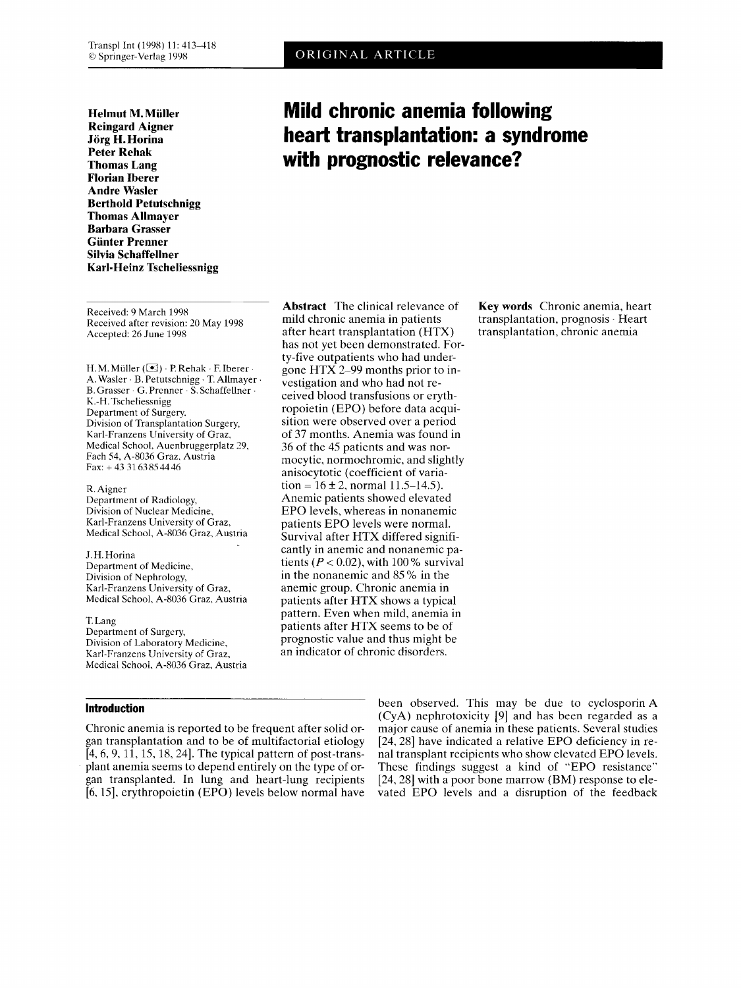**Helmut M. Muller Reingard Aigner Jorg H. Horina Peter Rehak Thomas Lang Florian Iberer Andre Wasler Berthold Petutschnigg Thomas Allmayer Barbara Grasser Gunter Prenner Silvia Schaffellner Karl-Heinz Tscheliessnigg** 

Received: 9 March 1998 Received after revision: 20 May 1998 Accepted: *76* June 1998

H. M. Müller ( $\blacktriangleright$ )  $\cdot$  P. Rehak  $\cdot$  F. Iberer  $\cdot$ A. Wasler . B. Petutschnigg . T. Allmayer . B. Crasser . G. Prenner . **S.** Schaffellner . K.-H. Tscheliessnigg Department of Surgery, Division of Transplantation Surgery, Karl-Franzens University of Graz, Medical School, Auenbruggerplatz *19,*  Fach 54, A-8036 Graz, Austria Fax: +43 31 63 85 44 46

R. Aigner Department of Radiology, Division of Nuclear Medicine, Karl-Franzens University of Graz, Medical School, A-8036 Graz, Austria

J. H. Horina Department of Medicine, Division of Nephrology, Karl-Franzens University of Graz, Medical School, A-8036 Graz, Austria

T. Lang Department of Surgery, Division of Laboratory Medicine, Karl-Franzens University of Graz, Medical School, A-8036 Graz, Austria

## **Introduction**

Chronic anemia is reported to be frequent after solid organ transplantation and to be of multifactorial etiology [4, 6, 9, 11, 15, 18, 24]. The typical pattern of post-transplant anemia seems to depend entirely on the type of organ transplanted. In lung and heart-lung recipients [6,15], erythropoietin (EPO) levels below normal have

mild chronic anemia in patients after heart transplantation (HTX) has not yet been demonstrated. Forty-five outpatients who had undergone HTX 2-99 months prior to investigation and who had not received blood transfusions or erythropoietin (EPO) before data acquisition were observed over a period of 37 months. Anemia was found in 36 of the 45 patients and was normocytic, normochromic, and slightly anisocytotic (coefficient of variation =  $16 \pm 2$ , normal 11.5-14.5). Anemic patients showed elevated EPO levels, whereas in nonanemic patients EPO levels were normal. Survival after HTX differed significantly in anemic and nonanemic patients  $(P < 0.02)$ , with 100 % survival in the nonanemic and 85 % in the anemic group. Chronic anemia in patients after HTX shows a typical pattern. Even when mild, anemia in patients after HTX seems to be of prognostic value and thus might be an indicator of chronic disorders.

**Abstract** The clinical relevance of **Key words** Chronic anemia, heart transplantation, prognosis . Heart transplantation, chronic anemia

> been observed. This mav be due to cvclosporin **A**  (CyA) nephrotoxicity [9] and has been regarded as a major cause of anemia in these patients. Several studies [24,28] have indicated a relative EPO deficiency in renal transplant recipients who show elevated EPO levels. These findings suggest a kind of "EPO resistance" [24,28] with a poor bone marrow (BM) response to elevated EPO levels and a disruption of the feedback

# **Mild chronic anemia following heart transplantation: a syndrome with prognostic relevance?**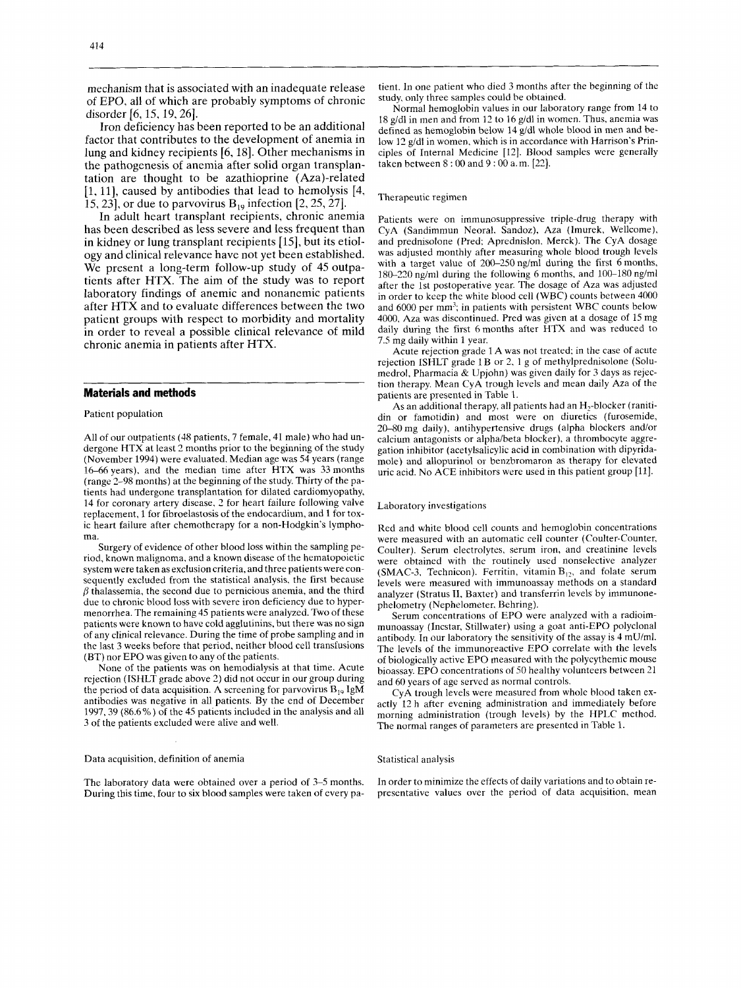mechanism that is associated with an inadequate release of EPO, all of which are probably symptoms of chronic disorder  $[6, 15, 19, 26]$ .

Iron deficiency has been reported to be an additional factor that contributes to the development of anemia in lung and kidney recipients [6,18]. Other mechanisms in the pathogenesis of anemia after solid organ transplantation are thought to be azathioprine (Aza)-related [l, 111, caused by antibodies that lead to hemolysis [4, 15,231, or due to parvovirus B,, infection *[2,25,27].* 

In adult heart transplant recipients, chronic anemia has been described as less severe and less frequent than in kidney or lung transplant recipients [15], but its etiology and clinical relevance have not yet been established. We present a long-term follow-up study of 45 outpatients after HTX. The aim of the study was to report laboratory findings of anemic and nonanemic patients after HTX and to evaluate differences between the two patient groups with respect to morbidity and mortality in order to reveal a possible clinical relevance of mild chronic anemia in patients after HTX.

#### **Materials and methods**

Patient population

All of our outpatients (48 patients, 7 female, 41 male) who had undergone HTX at least 2 months prior to the beginning of the study (November 1994) were evaluated. Median age was 54 years (range 16-66years). and the median time after HTX was 33months (range  $2-98$  months) at the beginning of the study. Thirty of the patients had undergone transplantation for dilated cardiomyopathy, 14 for coronary artery disease, 2 for heart failure following valve replacement, 1 for fibroelastosis of the endocardium, and 1 for toxic heart failure after chemotherapy for a non-Hodgkin's lymphoma.

Surgery of evidence of other blood loss within the sampling period, known malignoma, and a known disease of the hematopoietic system were taken as exclusion criteria, and three patients were consequently excluded from the statistical analysis, the first because  $\beta$  thalassemia, the second due to pernicious anemia, and the third due to chronic blood loss with severe iron deficiency due to hypermenorrhea. The remaining 45 patients were analyzed. Two of these patients were known to have cold agglutinins, but there was no sign of any clinical relevance. During the time of probe sampling and in the last 3 weeks before that period, neither blood cell transfusions (BT) nor EPO was given to any of the patients.

None of the patients was on hemodialysis at that time. Acute rejection (ISHLT grade above 2) did not occur in our group during the period of data acquisition. A screening for parvovirus  $B_{19}$  IgM antibodies was negative in all patients. By the end of December 1997.39 (86.6%) of the 45 patients included in the analysis and all 3 of the patients excluded were alive and well.

Data acquisition, definition of anemia

The laboratory data were obtained over a period of 3-5 months. During this time, four to six blood samples were taken of every patient. In one patient who died 3 months after the beginning of the study, only three samples could be obtained.

Normal hemoglobin values in our laboratory range from 14 to 18 gldl in men and from 17 to 16 g/dl in women. Thus, anemia was defined as hemoglobin below 14 g/dl whole blood in men and below 12 g/dl in women, which is in accordance with Harrison's Principles of Internal Medicine [12]. Blood samples were generally taken between 8 : 00 and 9 : 00 a.m. [27].

#### Therapeutic regimen

Patients were on immunosuppressive triple-drug therapy with CyA (Sandimmun Neoral, Sandoz), Aza (Imurek, Wellcome), and prednisolone (Pred: Aprednislon, Merck). The CyA dosage was adjusted monthly after measuring whole blood trough levels with a target value of  $200-250$  ng/ml during the first 6 months, 180-220 ng/ml during the following 6 months, and 100-180 ng/ml after the 1st postoperative year. The dosage of Aza was adjusted in order to keep the white blood cell (WBC) counts between 4000 and 6000 per mm<sup>3</sup>; in patients with persistent WBC counts below 4000, Aza was discontinued. Pred was given at a dosage of 15 mg daily during the first 6months after HTX and was reduced to 7.5 mg daily within 1 year.

Acute rejection grade 1 A was not treated: in the case of acute rejection ISHLT grade 1B or 2, 1 g of methylprednisolone (Solumedrol, Pharmacia & Upjohn) was given daily for 3 days as rejection therapy. Mean CyA trough levels and mean daily Aza of the patients are presented in Table **2.** 

As an additional therapy, all patients had an  $H_2$ -blocker (ranitidin or famotidin) and most were on diuretics (furosemide, 20-80 mg daily), antihypertensive drugs (alpha blockers and/or calcium antagonists or alphalbeta blocker), a thrombocyte aggregation inhibitor (acetylsalicylic acid in combination with dipyridamole) and allopurinol or benzbromaron as therapy for elevated uric acid. No ACE inhibitors were used in this patient group [ll].

#### Laboratory investigations

Red and white blood cell counts and hemoglobin concentrations were measured with an automatic cell counter (Coulter-Counter, Coulter). Serum electrolytes, serum iron, and creatinine levels were obtained with the routinely used nonselective analyzer (SMAC-3, Technicon). Ferritin, vitamin  $B_{12}$ , and folate serum levels were measured with immunoassay methods on a standard analyzer (Stratus II, Baxter) and transferrin levels by immunonephelometry (Nephelometer, Behring).

Serum concentrations of EPO were analyzed with a radioimmunoassay (Incstar, Stillwater) using a goat anti-EPO polyclonal antibody. In our laboratory the sensitivity of the assay is 4 mU/ml. The levels of the immunoreactive EPO correlate with the levels of biologically active EPO measured with the polycythemic mouse bioassay. EPO concentrations of SO healthy volunteers between 21 and *60* years of age served as normal controls.

CyA trough levels were measured from whole blood taken exactly 12 h after evening administration and immediately before morning administration (trough levels) by the HPLC method. The normal ranges of parameters are presented in Table 1.

Statistical analysis

In order to minimize the effects of daily variations and to obtain representative values over the period of data acquisition, mean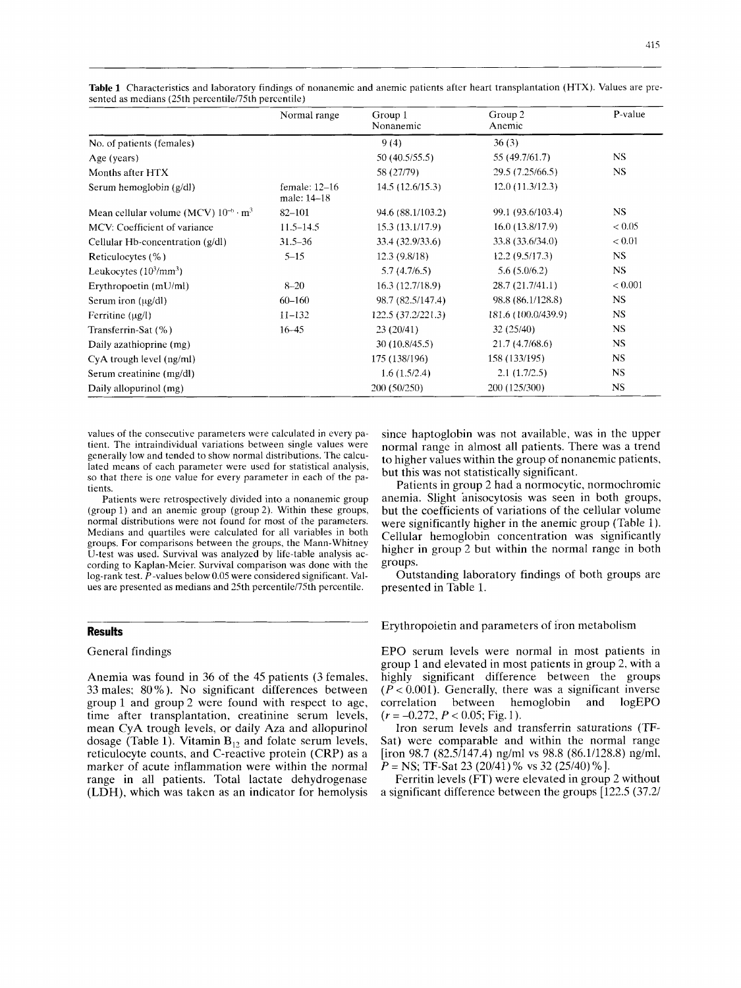|                                                | Normal range                 | Group 1<br>Nonanemic | Group 2<br>Anemic   | P-value   |
|------------------------------------------------|------------------------------|----------------------|---------------------|-----------|
| No. of patients (females)                      |                              | 9(4)                 | 36(3)               |           |
| Age (years)                                    |                              | 50 (40.5/55.5)       | 55 (49.7/61.7)      | NS.       |
| Months after HTX                               |                              | 58 (27/79)           | 29.5 (7.25/66.5)    | <b>NS</b> |
| Serum hemoglobin (g/dl)                        | female: 12-16<br>male: 14–18 | 14.5(12.6/15.3)      | 12.0(11.3/12.3)     |           |
| Mean cellular volume (MCV) $10^{-6} \cdot m^3$ | $82 - 101$                   | 94.6 (88.1/103.2)    | 99.1 (93.6/103.4)   | NS.       |
| MCV: Coefficient of variance                   | $11.5 - 14.5$                | 15.3 (13.1/17.9)     | 16.0(13.8/17.9)     | < 0.05    |
| Cellular Hb-concentration (g/dl)               | $31.5 - 36$                  | 33.4 (32.9/33.6)     | 33.8 (33.6/34.0)    | < 0.01    |
| Reticulocytes (%)                              | $5 - 15$                     | 12.3(9.8/18)         | 12.2(9.5/17.3)      | <b>NS</b> |
| Leukocytes $(10^3/\text{mm}^3)$                |                              | 5.7(4.7/6.5)         | 5.6(5.0/6.2)        | <b>NS</b> |
| Erythropoetin (mU/ml)                          | $8 - 20$                     | 16.3(12.7/18.9)      | 28.7 (21.7/41.1)    | < 0.001   |
| Serum iron $(\mu g/dl)$                        | $60 - 160$                   | 98.7 (82.5/147.4)    | 98.8 (86.1/128.8)   | NS.       |
| Ferritine $(\mu g/l)$                          | $11 - 132$                   | 122.5 (37.2/221.3)   | 181.6 (100.0/439.9) | <b>NS</b> |
| Transferrin-Sat (%)                            | $16 - 45$                    | 23(20/41)            | 32(25/40)           | NS.       |
| Daily azathioprine (mg)                        |                              | 30(10.8/45.5)        | 21.7 (4.7/68.6)     | <b>NS</b> |
| CyA trough level (ng/ml)                       |                              | 175 (138/196)        | 158 (133/195)       | <b>NS</b> |
| Serum creatinine (mg/dl)                       |                              | 1.6(1.5/2.4)         | 2.1(1.7/2.5)        | NS.       |
| Daily allopurinol (mg)                         |                              | 200 (50/250)         | 200 (125/300)       | NS.       |

**Table 1** Characteristics and laboratory findings of nonanemic and anemic patients after heart transplantation (HTX). Values are presented as medians (25th percentile/75th percentile)

values of the consecutive parameters were calculated in every patient. The intraindividual variations between single values were generally low and tended to show normal distributions. The calculated means of each parameter were used for statistical analysis, so that there is one value for every parameter in each of the patients.

Patients were retrospectively divided into a nonanemic group (group 1) and an anemic group (group 2). Within these groups, normal distributions were not found for most of the parameters. Medians and quartiles were calculated for all variables in both groups. For comparisons between the groups, the Mann-Whitney U-test was used. Survival was analyzed by life-table analysis according to Kaplan-Meier. Survival comparison was done with the log-rank test. P-values below 0.05 were considered significant. Values are presented as medians and 25th percentile/75th percentile.

## **Results**

## General findings

Anemia was found in 36 of the 45 patients (3 females, 33 males; 80 % ). No significant differences between group 1 and group 2 were found with respect to age, time after transplantation, creatinine serum levels, mean CyA trough levels, or daily Aza and allopurinol dosage (Table 1). Vitamin  $B_{12}$  and folate serum levels, reticulocyte counts, and C-reactive protein (CRP) as a marker of acute inflammation were within the normal range in all patients. Total lactate dehydrogenase (LDH), which was taken as an indicator for hemolysis

since haptoglobin was not available, was in the upper normal range in almost all patients. There was a trend to higher values within the group of nonanemic patients, but this was not statistically significant.

Patients in group 2 had a normocytic, normochromic anemia. Slight anisocytosis was seen in both groups, but the coefficients of variations of the cellular volume were significantly higher in the anemic group (Table 1). Cellular hemoglobin concentration was significantly higher in group 2 but within the normal range in both groups.

Outstanding laboratory findings of both groups are presented in Table 1.

Erythropoietin and parameters of iron metabolism

EPO serum levels were normal in most patients in group 1 and elevated in most patients in group 2, with a highly significant difference between the groups  $(P < 0.001)$ . Generally, there was a significant inverse correlation between hemoglobin and logEPO  $(r = -0.272, P < 0.05; Fig. 1).$ 

Iron serum levels and transferrin saturations (TF-Sat) were comparable and within the normal range [iron 98.7 (82.5/147.4) ng/ml vs 98.8 (86.1/128.8) ng/ml, *P* = NS; TF-Sat 23 (20/41) % vs 32 (25/40) %].

Ferritin levels (FT) were elevated in group 2 without a significant difference between the groups [122.5 (37.2/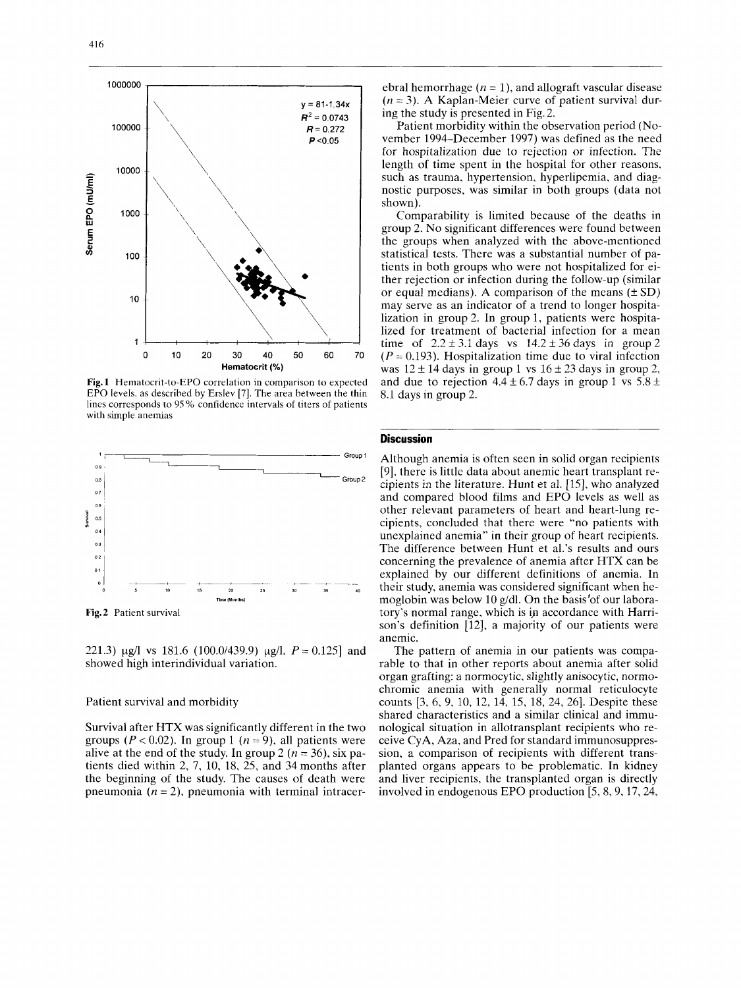

**Fig. 1** Hematocrit-to-EPO correlation in comparison to expected EPO levels, as described by Erslev *[7].* The area between the thin lines corresponds to 95% confidence intervals of titers of patients with simple anemias



**Fig.2** Patient survival

221.3)  $\mu$ g/l vs 181.6 (100.0/439.9)  $\mu$ g/l,  $P = 0.125$ ] and showed high interindividual variation.

#### Patient survival and morbidity

Survival after HTX was significantly different in the two groups  $(P < 0.02)$ . In group 1  $(n = 9)$ , all patients were alive at the end of the study. In group 2 ( $n = 36$ ), six patients died within 2, 7, 10, 18, 25, and 34 months after the beginning of the study. The causes of death were pneumonia  $(n = 2)$ , pneumonia with terminal intracerebral hemorrhage  $(n = 1)$ , and allograft vascular disease  $(n = 3)$ . A Kaplan-Meier curve of patient survival during the study is presented in Fig. 2.

Patient morbidity within the observation period (November 1994-December 1997) was defined as the need for hospitalization due to rejection or infection. The length of time spent in the hospital for other reasons, such as trauma, hypertension, hyperlipemia, and diagnostic purposes, was similar in both groups (data not shown).

Comparability is limited because of the deaths in group 2. No significant differences were found between the groups when analyzed with the above-mentioned statistical tests. There was a substantial number of patients in both groups who were not hospitalized for either rejection or infection during the follow-up (similar or equal medians). A comparison of the means  $(\pm SD)$ may serve as an indicator of a trend to longer hospitalization in group 2. In group l, patients were hospitalized for treatment of bacterial infection for a mean time of  $2.2 \pm 3.1$  days vs  $14.2 \pm 36$  days in group 2 ( $P = 0.193$ ). Hospitalization time due to viral infection was  $12 \pm 14$  days in group 1 vs  $16 \pm 23$  days in group 2, and due to rejection  $4.4 \pm 6.7$  days in group 1 vs  $5.8 \pm$ 8.1 days in group 2.

# **Discussion**

Although anemia is often seen in solid organ recipients [9]. there is little data about anemic heart transplant recipients in the literature. Hunt et al. [15], who analyzed and compared blood films and EPO levels as well as other relevant parameters of heart and heart-lung recipients, concluded that there were "no patients with unexplained anemia" in their group of heart recipients. The difference between Hunt et al.'s results and ours concerning the prevalence of anemia after HTX can be explained by our different definitions of anemia. In their study, anemia was considered significant when hemoglobin was below 10 g/dl. On the basis'of our laboratory's normal range, which is ip accordance with Harrison's definition [12], a majority of our patients were anemic.

The pattern of anemia in our patients was comparable to that in other reports about anemia after solid organ grafting: a normocytic, slightly anisocytic, normochromic anemia with generally normal reticulocyte counts [3, 6, 9, 10, 12, 14, 15, 18, 24, 261. Despite these shared characteristics and a similar clinical and immunological situation in allotransplant recipients who receive CyA, Aza, and Pred for standard immunosuppression, a comparison of recipients with different transplanted organs appears to be problematic. In kidney and liver recipients, the transplanted organ is directly involved in endogenous EPO production [5,8,9,17,24,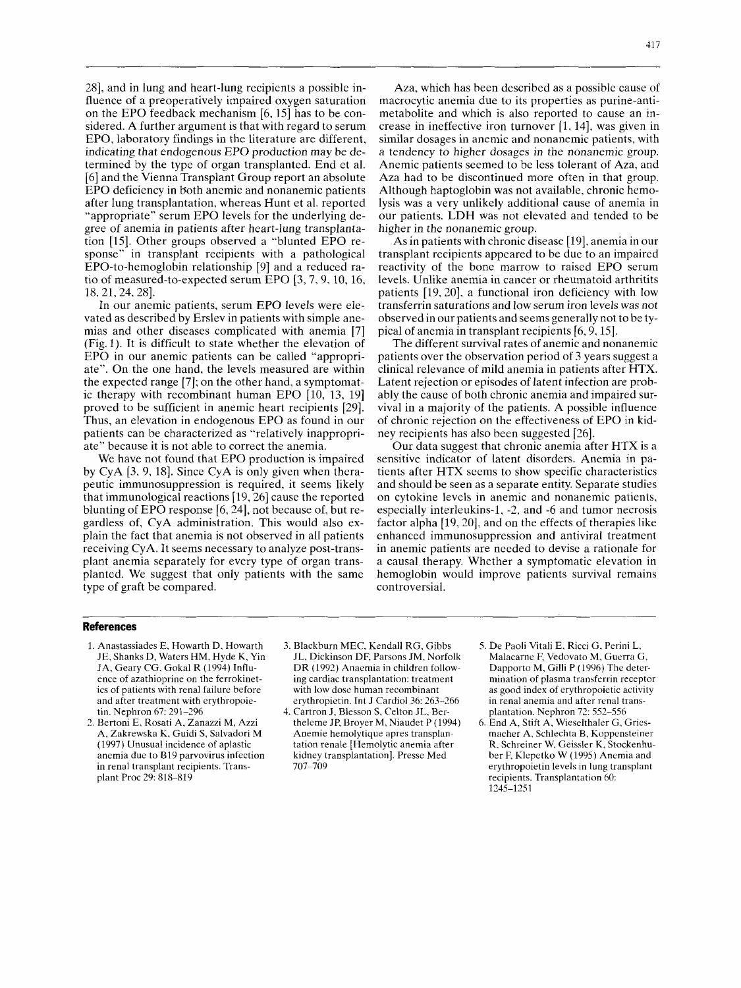281, and in lung and heart-lung recipients a possible influence of a preoperatively impaired oxygen saturation on the EPO feedback mechanism  $[6, 15]$  has to be considered. A further argument is that with regard to serum EPO, laboratory findings in the literature are different, indicating that endogenous EPO production may be determined by the type of organ transplanted. End et al. [6] and the Vienna Transplant Group report an absolute EPO deficiency in both anemic and nonanemic patients after lung transplantation, whereas Hunt et al. reported "appropriate" serum EPO levels for the underlying degree of anemia in patients after heart-lung transplantation [15]. Other groups observed a "blunted EPO response" in transplant recipients with a pathological EPO-to-hemoglobin relationship [9] and a reduced ratio of measured-to-expected serum EPO [3,7,9, 10, 16, 18,21, 24,281.

In our anemic patients, serum EPO levels were elevated as described by Erslev in patients with simple anemias and other diseases complicated with anemia [7] (Fig. 1). It is difficult to state whether the elevation of EPO in our anemic patients can be called "appropriate". On the one hand, the levels measured are within the expected range [7]; on the other hand, a symptomatic therapy with recombinant human EPO  $[10, 13, 19]$ proved to be sufficient in anemic heart recipients [29]. Thus, an elevation in endogenous EPO as found in our patients can be characterized as "relatively inappropriate" because it is not able to correct the anemia.

We have not found that EPO production is impaired by CyA  $[3, 9, 18]$ . Since CyA is only given when therapeutic immunosuppression is required, it seems likely that immunological reactions  $[19, 26]$  cause the reported blunting of EPO response [6,24], not because of, but regardless of, CyA administration. This would also explain the fact that anemia is not observed in all patients receiving CyA. It seems necessary to analyze post-transplant anemia separately for every type of organ transplanted. We suggest that only patients with the same type of graft be compared.

Aza, which has been described as a possible cause of macrocytic anemia due to its properties as purine-antimetabolite and which is also reported to cause an increase in ineffective iron turnover [1, 141, was given in similar dosages in anemic and nonanemic patients, with a tendency *to* higher dosages in the nonanemic group. Anemic patients seemed to be less tolerant of Aza, and Aza had to be discontinued more often in that group. Although haptoglobin was not available, chronic hemolysis was a very unlikely additional cause of anemia in our patients. LDH was not elevated and tended to be higher in the nonanemic group.

As in patients with chronic disease [19]. anemia in our transplant recipients appeared to be due to an impaired reactivity of the bone marrow to raised EPO serum levels. Unlike anemia in cancer or rheumatoid arthritits patients [19,20], a functional iron deficiency with low transferrin saturations and low serum iron levels was not observed in our patients and seems generally not to be typical of anemia in transplant recipients [6,9,15].

The different survival rates of anemic and nonanemic patients over the observation period of 3 years suggest a clinical relevance of mild anemia in patients after HTX. Latent rejection or episodes of latent infection are probably the cause of both chronic anemia and impaired survival in a majority of the patients. **A** possible influence of chronic rejection on the effectiveness of EPO in kidney recipients has also been suggested *[26].* 

Our data suggest that chronic anemia after HTX is a sensitive indicator of latent disorders. Anemia in patients after HTX seems to show specific characteristics and should be seen as a separate entity. Separate studies on cytokine levels in anemic and nonanemic patients, especially interleukins-1, -2, and -6 and tumor necrosis factor alpha [19,20], and on the effects of therapies like enhanced immunosuppression and antiviral treatment in anemic patients are needed to devise a rationale for a causal therapy. Whether a symptomatic elevation in hemoglobin would improve patients survival remains controversial.

## **References**

- 1. Anastassiades E, Howarth D, Howarth JE, Shanks D, Waters HM, Hyde K, Yin JA, Geary CG. Gokal R (1994) Influence of azathioprine on the ferrokinetics of patients with renal failure before and after treatment with erythropoietin. Nephron 67: 291-296
- *3.* Bertoni E, Rosati A, Zanazzi M, Azzi **A,** Zakrewska K, Guidi **S,** Salvadori M (1997) Unusual incidence of aplastic anemia due to B19 parvovirus infection in renal transplant recipients. Transplant Proc 29: 818-819
- *3.* Blackburn MEC, Kendall RG, Gibbs JL, Dickinson DF, Parsons JM, Norfolk DR (1992) Anaemia in children following cardiac transplantation: treatment with low dose human recombinant erythropietin. Int J Cardiol 36: 263-266
- 4. Cartron J, Blesson S, Celton JL, Bertheleme JP, Broyer M, Niaudet P ( 1994) Anemie hemolytique apres transplantation renale [Hemolytic anemia after kidney transplantation]. Presse Med 707-709
- 5. De Paoli Vitali E, Ricci G, Perini L, Malacarne F, Vedovato M, Guerra G, Dapporto M, Gilli P (1996) The determination of plasma transferrin receptor as good index of erythropoietic activity in renal anemia and after renal transplantation. Nephron 72: 552-556
- 6. End A, Stift **A,** Wieselthaler G, Griesmacher A, Schlechta B, Koppensteiner R. Schreiner W, Geissler K, Stockenhuber F, Klepetko W (1995) Anemia and erythropoietin levels in lung transplant recipients. Transplantation 60: 1245-1251